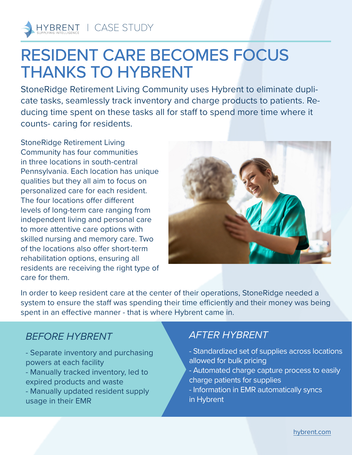

# RESIDENT CARE BECOMES FOCUS THANKS TO HYBRENT

StoneRidge Retirement Living Community uses Hybrent to eliminate duplicate tasks, seamlessly track inventory and charge products to patients. Reducing time spent on these tasks all for staff to spend more time where it counts- caring for residents.

StoneRidge Retirement Living Community has four communities in three locations in south-central Pennsylvania. Each location has unique qualities but they all aim to focus on personalized care for each resident. The four locations offer different levels of long-term care ranging from independent living and personal care to more attentive care options with skilled nursing and memory care. Two of the locations also offer short-term rehabilitation options, ensuring all residents are receiving the right type of care for them.



In order to keep resident care at the center of their operations, StoneRidge needed a system to ensure the staff was spending their time efficiently and their money was being spent in an effective manner - that is where Hybrent came in.

## *BEFORE HYBRENT*

- Separate inventory and purchasing powers at each facility - Manually tracked inventory, led to expired products and waste - Manually updated resident supply usage in their EMR

## *AFTER HYBRENT*

- Standardized set of supplies across locations allowed for bulk pricing
- Automated charge capture process to easily charge patients for supplies
- Information in EMR automatically syncs in Hybrent

[hybrent.com](http://hybrent.com)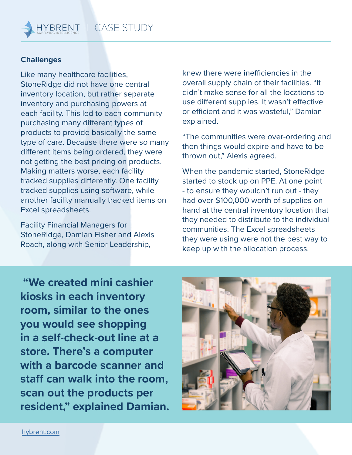| CASE STUDY

#### **Challenges**

HYBRENT

Like many healthcare facilities, StoneRidge did not have one central inventory location, but rather separate inventory and purchasing powers at each facility. This led to each community purchasing many different types of products to provide basically the same type of care. Because there were so many different items being ordered, they were not getting the best pricing on products. Making matters worse, each facility tracked supplies differently. One facility tracked supplies using software, while another facility manually tracked items on Excel spreadsheets.

Facility Financial Managers for StoneRidge, Damian Fisher and Alexis Roach, along with Senior Leadership,

knew there were inefficiencies in the overall supply chain of their facilities. "It didn't make sense for all the locations to use different supplies. It wasn't effective or efficient and it was wasteful," Damian explained.

"The communities were over-ordering and then things would expire and have to be thrown out," Alexis agreed.

When the pandemic started, StoneRidge started to stock up on PPE. At one point - to ensure they wouldn't run out - they had over \$100,000 worth of supplies on hand at the central inventory location that they needed to distribute to the individual communities. The Excel spreadsheets they were using were not the best way to keep up with the allocation process.

 **"We created mini cashier kiosks in each inventory room, similar to the ones you would see shopping in a self-check-out line at a store. There's a computer with a barcode scanner and staff can walk into the room, scan out the products per resident," explained Damian.** 

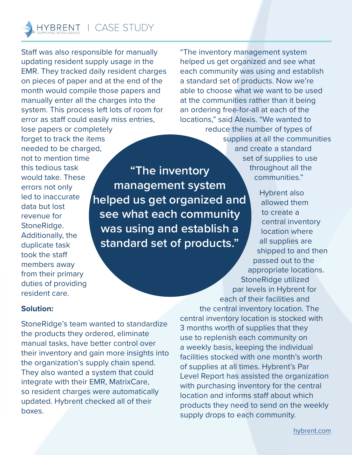Staff was also responsible for manually updating resident supply usage in the EMR. They tracked daily resident charges on pieces of paper and at the end of the month would compile those papers and manually enter all the charges into the system. This process left lots of room for error as staff could easily miss entries,

lose papers or completely forget to track the items needed to be charged, not to mention time this tedious task would take. These errors not only led to inaccurate data but lost revenue for StoneRidge. Additionally, the duplicate task took the staff members away from their primary duties of providing resident care.

**"The inventory management system helped us get organized and see what each community was using and establish a standard set of products."**

"The inventory management system helped us get organized and see what each community was using and establish a standard set of products. Now we're able to choose what we want to be used at the communities rather than it being an ordering free-for-all at each of the locations," said Alexis. "We wanted to reduce the number of types of

supplies at all the communities and create a standard set of supplies to use throughout all the communities."

Hybrent also allowed them to create a central inventory location where all supplies are shipped to and then passed out to the appropriate locations. StoneRidge utilized par levels in Hybrent for

### **Solution:**

StoneRidge's team wanted to standardize the products they ordered, eliminate manual tasks, have better control over their inventory and gain more insights into the organization's supply chain spend. They also wanted a system that could integrate with their EMR, MatrixCare, so resident charges were automatically updated. Hybrent checked all of their boxes.

each of their facilities and the central inventory location. The central inventory location is stocked with 3 months worth of supplies that they use to replenish each community on a weekly basis, keeping the individual facilities stocked with one month's worth of supplies at all times. Hybrent's Par Level Report has assisted the organization with purchasing inventory for the central location and informs staff about which products they need to send on the weekly supply drops to each community.

[hybrent.com](http://hybrent.com)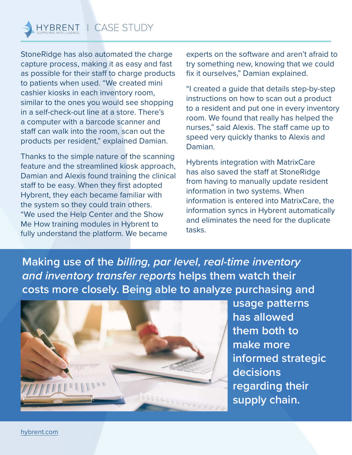StoneRidge has also automated the charge capture process, making it as easy and fast as possible for their staff to charge products to patients when used. "We created mini cashier kiosks in each inventory room, similar to the ones you would see shopping in a self-check-out line at a store. There's a computer with a barcode scanner and staff can walk into the room, scan out the products per resident," explained Damian.

Thanks to the simple nature of the scanning feature and the streamlined kiosk approach, Damian and Alexis found training the clinical staff to be easy. When they first adopted Hybrent, they each became familiar with the system so they could train others. "We used the Help Center and the Show Me How training modules in Hybrent to fully understand the platform. We became

experts on the software and aren't afraid to try something new, knowing that we could fix it ourselves," Damian explained.

"I created a guide that details step-by-step instructions on how to scan out a product to a resident and put one in every inventory room. We found that really has helped the nurses," said Alexis. The staff came up to speed very quickly thanks to Alexis and Damian.

Hybrents integration with MatrixCare has also saved the staff at StoneRidge from having to manually update resident information in two systems. When information is entered into MatrixCare, the information syncs in Hybrent automatically and eliminates the need for the duplicate tasks.

**Making use of the** *billing, par level, real-time inventory and inventory transfer reports* **helps them watch their costs more closely. Being able to analyze purchasing and** 



**usage patterns has allowed them both to make more informed strategic decisions regarding their supply chain.**